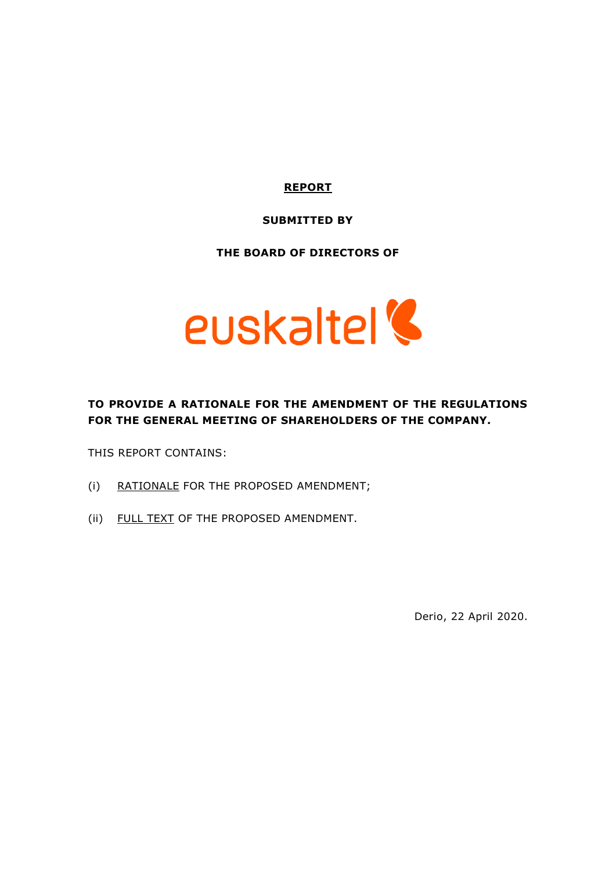## **REPORT**

### **SUBMITTED BY**

### **THE BOARD OF DIRECTORS OF**



# **TO PROVIDE A RATIONALE FOR THE AMENDMENT OF THE REGULATIONS FOR THE GENERAL MEETING OF SHAREHOLDERS OF THE COMPANY.**

THIS REPORT CONTAINS:

- (i) RATIONALE FOR THE PROPOSED AMENDMENT;
- (ii) FULL TEXT OF THE PROPOSED AMENDMENT.

Derio, 22 April 2020.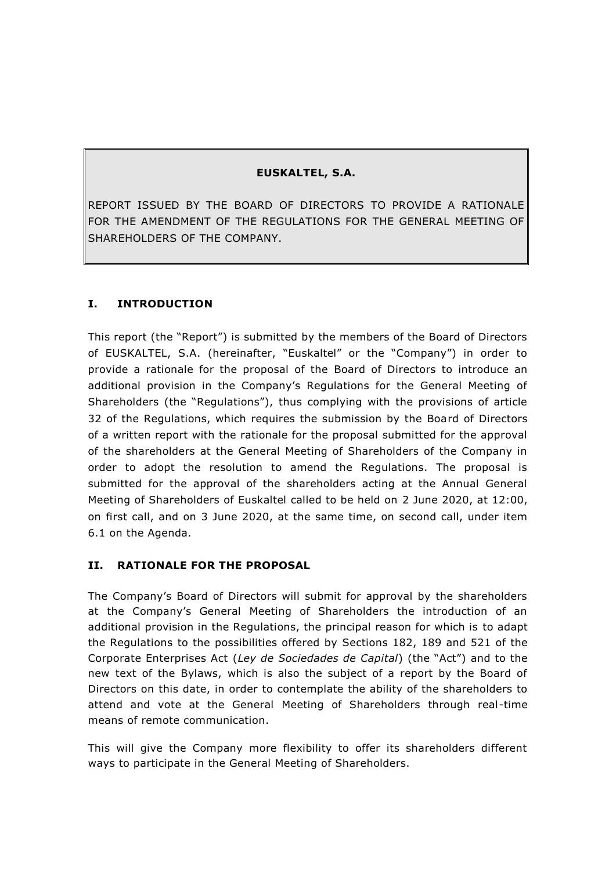## **EUSKALTEL, S.A.**

REPORT ISSUED BY THE BOARD OF DIRECTORS TO PROVIDE A RATIONALE FOR THE AMENDMENT OF THE REGULATIONS FOR THE GENERAL MEETING OF SHAREHOLDERS OF THE COMPANY.

## **I. INTRODUCTION**

This report (the "Report") is submitted by the members of the Board of Directors of EUSKALTEL, S.A. (hereinafter, "Euskaltel" or the "Company") in order to provide a rationale for the proposal of the Board of Directors to introduce an additional provision in the Company's Regulations for the General Meeting of Shareholders (the "Regulations"), thus complying with the provisions of article 32 of the Regulations, which requires the submission by the Board of Directors of a written report with the rationale for the proposal submitted for the approval of the shareholders at the General Meeting of Shareholders of the Company in order to adopt the resolution to amend the Regulations. The proposal is submitted for the approval of the shareholders acting at the Annual General Meeting of Shareholders of Euskaltel called to be held on 2 June 2020, at 12:00, on first call, and on 3 June 2020, at the same time, on second call, under item 6.1 on the Agenda.

### **II. RATIONALE FOR THE PROPOSAL**

The Company's Board of Directors will submit for approval by the shareholders at the Company's General Meeting of Shareholders the introduction of an additional provision in the Regulations, the principal reason for which is to adapt the Regulations to the possibilities offered by Sections 182, 189 and 521 of the Corporate Enterprises Act (*Ley de Sociedades de Capital*) (the "Act") and to the new text of the Bylaws, which is also the subject of a report by the Board of Directors on this date, in order to contemplate the ability of the shareholders to attend and vote at the General Meeting of Shareholders through real-time means of remote communication.

This will give the Company more flexibility to offer its shareholders different ways to participate in the General Meeting of Shareholders.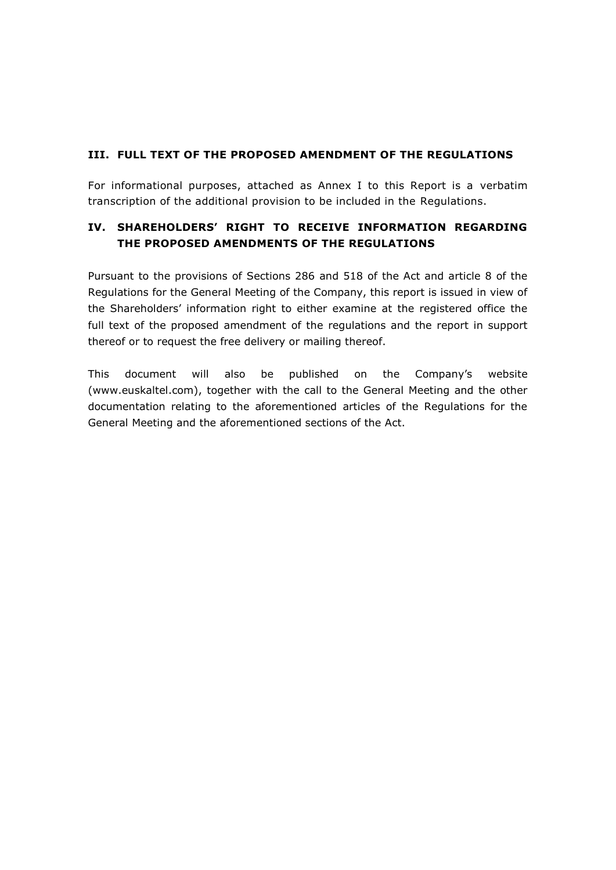### **III. FULL TEXT OF THE PROPOSED AMENDMENT OF THE REGULATIONS**

For informational purposes, attached as Annex I to this Report is a verbatim transcription of the additional provision to be included in the Regulations.

# **IV. SHAREHOLDERS' RIGHT TO RECEIVE INFORMATION REGARDING THE PROPOSED AMENDMENTS OF THE REGULATIONS**

Pursuant to the provisions of Sections 286 and 518 of the Act and article 8 of the Regulations for the General Meeting of the Company, this report is issued in view of the Shareholders' information right to either examine at the registered office the full text of the proposed amendment of the regulations and the report in support thereof or to request the free delivery or mailing thereof.

This document will also be published on the Company's website (www.euskaltel.com), together with the call to the General Meeting and the other documentation relating to the aforementioned articles of the Regulations for the General Meeting and the aforementioned sections of the Act.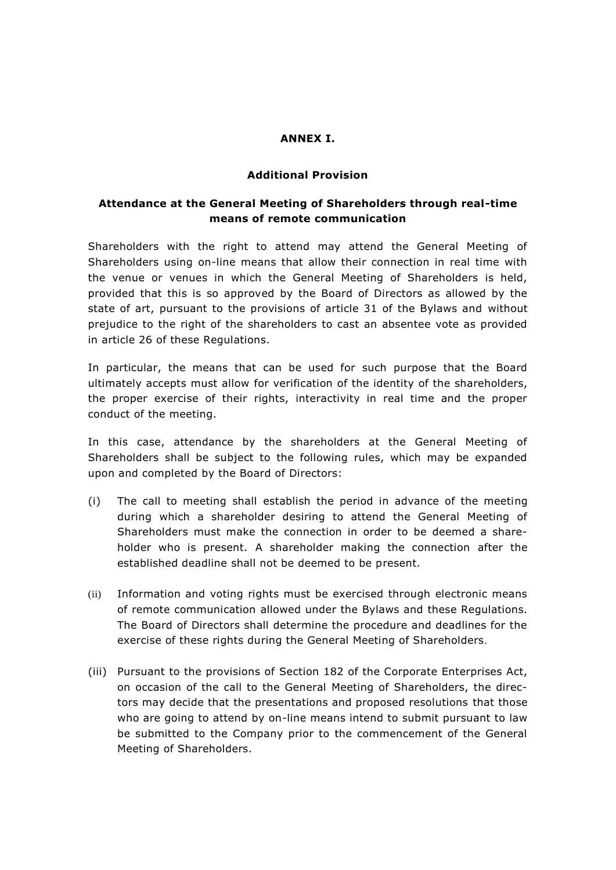#### **ANNEX I.**

#### **Additional Provision**

## **Attendance at the General Meeting of Shareholders through real-time means of remote communication**

Shareholders with the right to attend may attend the General Meeting of Shareholders using on-line means that allow their connection in real time with the venue or venues in which the General Meeting of Shareholders is held, provided that this is so approved by the Board of Directors as allowed by the state of art, pursuant to the provisions of article 31 of the Bylaws and without prejudice to the right of the shareholders to cast an absentee vote as provided in article 26 of these Regulations.

In particular, the means that can be used for such purpose that the Board ultimately accepts must allow for verification of the identity of the shareholders, the proper exercise of their rights, interactivity in real time and the proper conduct of the meeting.

In this case, attendance by the shareholders at the General Meeting of Shareholders shall be subject to the following rules, which may be expanded upon and completed by the Board of Directors:

- (i) The call to meeting shall establish the period in advance of the meeting during which a shareholder desiring to attend the General Meeting of Shareholders must make the connection in order to be deemed a shareholder who is present. A shareholder making the connection after the established deadline shall not be deemed to be present.
- (ii) Information and voting rights must be exercised through electronic means of remote communication allowed under the Bylaws and these Regulations. The Board of Directors shall determine the procedure and deadlines for the exercise of these rights during the General Meeting of Shareholders.
- (iii) Pursuant to the provisions of Section 182 of the Corporate Enterprises Act, on occasion of the call to the General Meeting of Shareholders, the directors may decide that the presentations and proposed resolutions that those who are going to attend by on-line means intend to submit pursuant to law be submitted to the Company prior to the commencement of the General Meeting of Shareholders.